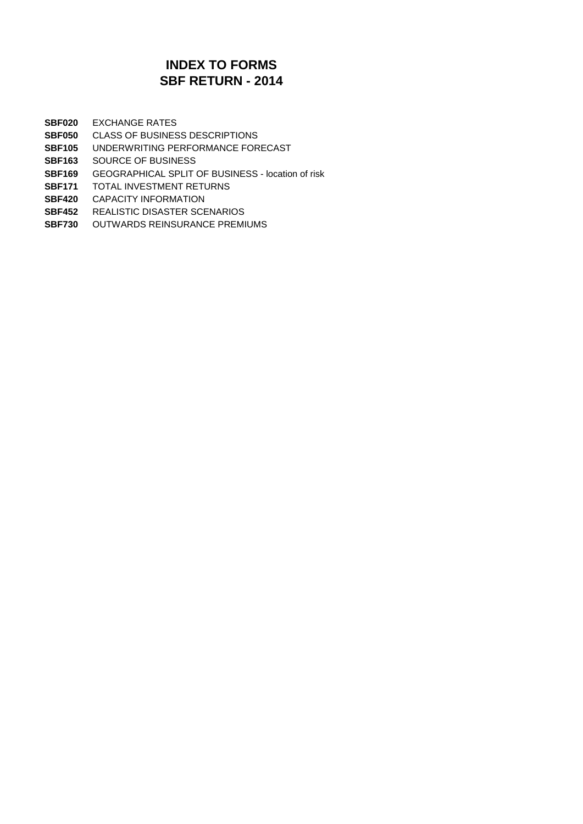## **SBF RETURN - 2014 INDEX TO FORMS**

**SBF020** EXCHANGE RATES

- **SBF050** CLASS OF BUSINESS DESCRIPTIONS
- **SBF105** UNDERWRITING PERFORMANCE FORECAST
- **SBF163** SOURCE OF BUSINESS
- **SBF169** GEOGRAPHICAL SPLIT OF BUSINESS location of risk
- **SBF171** TOTAL INVESTMENT RETURNS
- **SBF420** CAPACITY INFORMATION
- **SBF452** REALISTIC DISASTER SCENARIOS
- **SBF730** OUTWARDS REINSURANCE PREMIUMS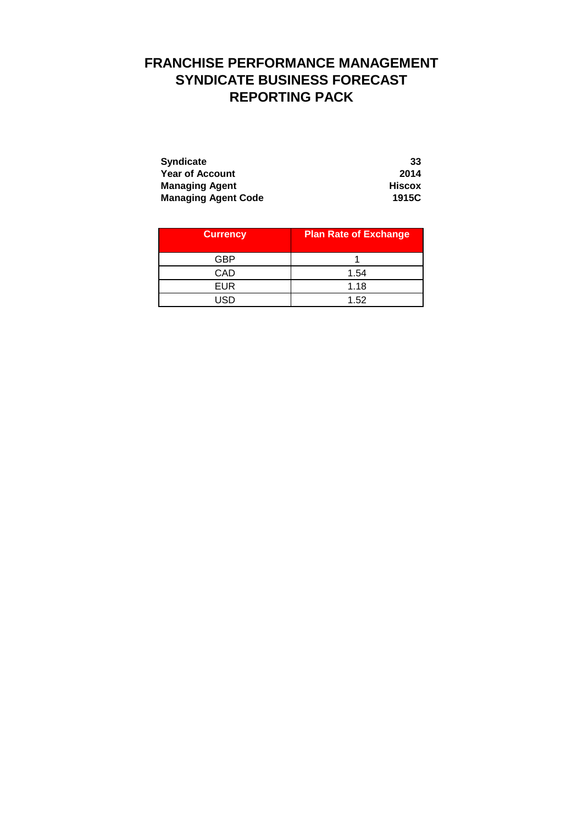# **FRANCHISE PERFORMANCE MANAGEMENT SYNDICATE BUSINESS FORECAST REPORTING PACK**

| <b>Syndicate</b>           | 33     |
|----------------------------|--------|
| <b>Year of Account</b>     | 2014   |
| <b>Managing Agent</b>      | Hiscox |
| <b>Managing Agent Code</b> | 1915C  |

| <b>Currency</b> | <b>Plan Rate of Exchange</b> |
|-----------------|------------------------------|
| GBP             |                              |
| CAD             | 1.54                         |
| <b>EUR</b>      | 1.18                         |
| חפו             | 1.52                         |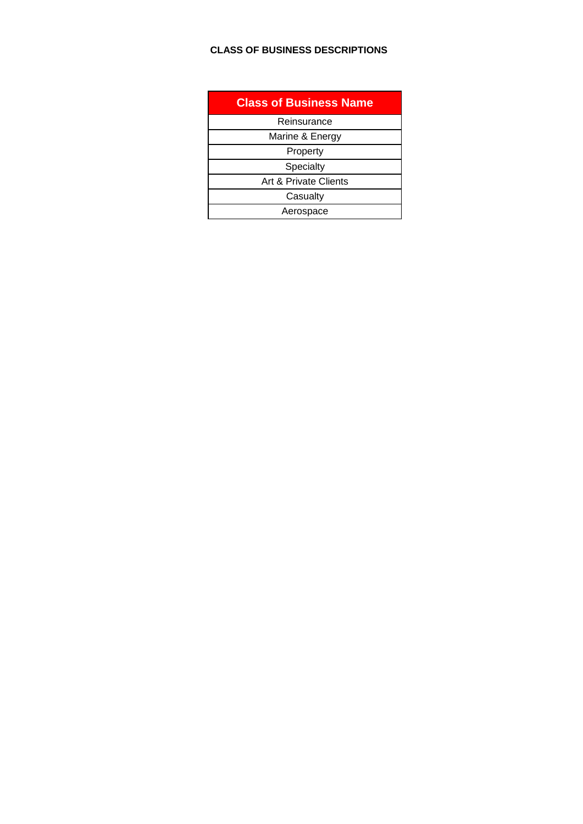## **CLASS OF BUSINESS DESCRIPTIONS**

| <b>Class of Business Name</b> |
|-------------------------------|
| Reinsurance                   |
| Marine & Energy               |
| Property                      |
| Specialty                     |
| Art & Private Clients         |
| Casualty                      |
| Aerospace                     |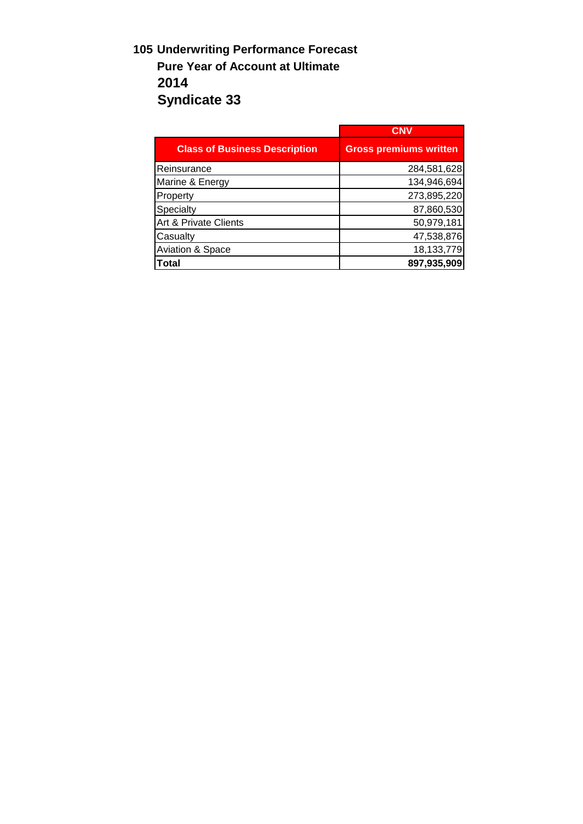# **105 Underwriting Performance Forecast Pure Year of Account at Ultimate 2014 Syndicate 33**

|                                      | <b>CNV</b>                    |
|--------------------------------------|-------------------------------|
| <b>Class of Business Description</b> | <b>Gross premiums written</b> |
| Reinsurance                          | 284,581,628                   |
| Marine & Energy                      | 134,946,694                   |
| Property                             | 273,895,220                   |
| Specialty                            | 87,860,530                    |
| Art & Private Clients                | 50,979,181                    |
| Casualty                             | 47,538,876                    |
| <b>Aviation &amp; Space</b>          | 18,133,779                    |
| Total                                | 897,935,909                   |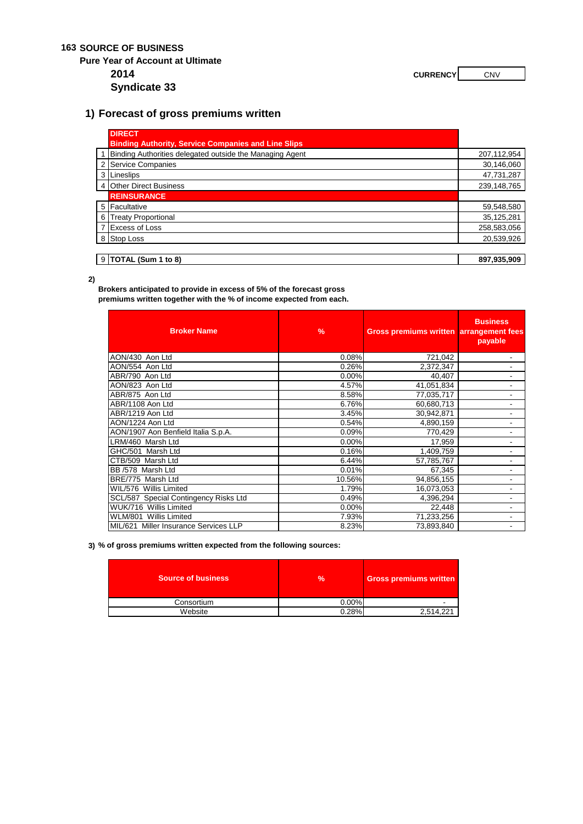### **163 SOURCE OF BUSINESS**

**Pure Year of Account at Ultimate**

**2014 CURRENCY CURRENCY CNV** 

**Syndicate 33**

## **1) Forecast of gross premiums written**

|   | <b>DIRECT</b>                                              |             |
|---|------------------------------------------------------------|-------------|
|   | <b>Binding Authority, Service Companies and Line Slips</b> |             |
|   | 1 Binding Authorities delegated outside the Managing Agent | 207,112,954 |
|   | 2 Service Companies                                        | 30,146,060  |
|   | 3 Lineslips                                                | 47,731,287  |
|   | 4 Other Direct Business                                    | 239,148,765 |
|   | <b>REINSURANCE</b>                                         |             |
|   | 5 Facultative                                              | 59,548,580  |
| 6 | <b>Treaty Proportional</b>                                 | 35,125,281  |
|   | 7 Excess of Loss                                           | 258,583,056 |
|   | 8 Stop Loss                                                | 20,539,926  |
|   |                                                            |             |
|   | $9$ TOTAL (Sum 1 to 8)                                     | 897.935.909 |

**2)**

**Brokers anticipated to provide in excess of 5% of the forecast gross premiums written together with the % of income expected from each.** 

| <b>Broker Name</b>                    | $\frac{9}{6}$ | Gross premiums written arrangement fees | <b>Business</b><br>payable |
|---------------------------------------|---------------|-----------------------------------------|----------------------------|
| AON/430 Aon Ltd                       | 0.08%         | 721,042                                 | ۰                          |
| AON/554 Aon Ltd                       | 0.26%         | 2,372,347                               | ٠                          |
| ABR/790 Aon Ltd                       | 0.00%         | 40,407                                  |                            |
| AON/823 Aon Ltd                       | 4.57%         | 41,051,834                              |                            |
| ABR/875 Aon Ltd                       | 8.58%         | 77,035,717                              | $\overline{\phantom{a}}$   |
| ABR/1108 Aon Ltd                      | 6.76%         | 60,680,713                              | ٠                          |
| ABR/1219 Aon Ltd                      | 3.45%         | 30,942,871                              | $\overline{\phantom{a}}$   |
| AON/1224 Aon Ltd                      | 0.54%         | 4,890,159                               |                            |
| AON/1907 Aon Benfield Italia S.p.A.   | 0.09%         | 770,429                                 |                            |
| LRM/460 Marsh Ltd                     | 0.00%         | 17,959                                  |                            |
| GHC/501 Marsh Ltd                     | 0.16%         | 1,409,759                               |                            |
| CTB/509 Marsh Ltd                     | 6.44%         | 57,785,767                              | ۰                          |
| BB /578 Marsh Ltd                     | 0.01%         | 67,345                                  |                            |
| BRE/775 Marsh Ltd                     | 10.56%        | 94,856,155                              |                            |
| WIL/576 Willis Limited                | 1.79%         | 16,073,053                              | ٠                          |
| SCL/587 Special Contingency Risks Ltd | 0.49%         | 4,396,294                               |                            |
| WUK/716 Willis Limited                | 0.00%         | 22,448                                  | ٠                          |
| WLM/801 Willis Limited                | 7.93%         | 71,233,256                              |                            |
| MIL/621 Miller Insurance Services LLP | 8.23%         | 73,893,840                              |                            |

#### **3) % of gross premiums written expected from the following sources:**

| <b>Source of business</b> | $\frac{9}{6}$ | <b>Gross premiums written</b> |
|---------------------------|---------------|-------------------------------|
| Consortium                | 0.00%         |                               |
| Website                   | 0.28%         | 2.514.221                     |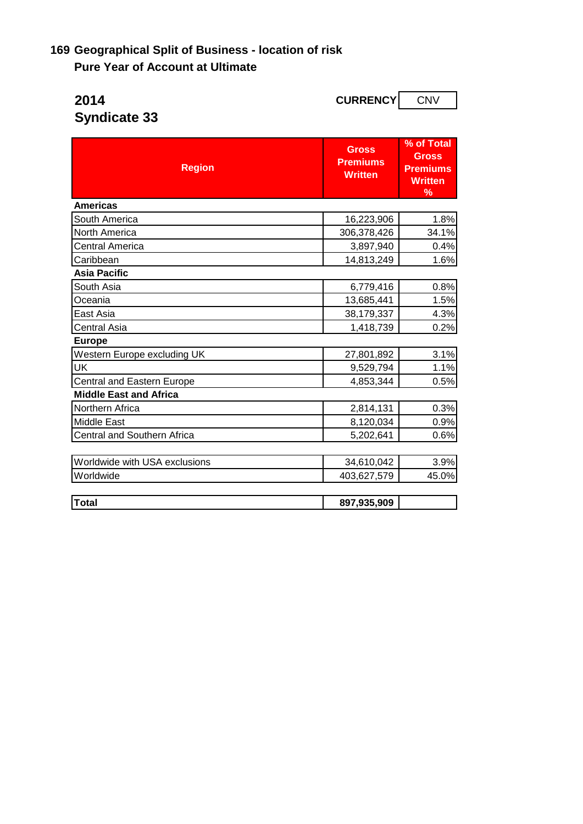# **169 Geographical Split of Business - location of risk Pure Year of Account at Ultimate**

| <b>CURRENCY</b><br>2014            |                                                   | <b>CNV</b>                                                           |  |
|------------------------------------|---------------------------------------------------|----------------------------------------------------------------------|--|
| <b>Syndicate 33</b>                |                                                   |                                                                      |  |
| <b>Region</b>                      | <b>Gross</b><br><b>Premiums</b><br><b>Written</b> | % of Total<br><b>Gross</b><br><b>Premiums</b><br><b>Written</b><br>% |  |
| <b>Americas</b>                    |                                                   |                                                                      |  |
| South America                      | 16,223,906                                        | 1.8%                                                                 |  |
| North America                      | 306,378,426                                       | 34.1%                                                                |  |
| <b>Central America</b>             | 3,897,940                                         | 0.4%                                                                 |  |
| Caribbean                          | 14,813,249                                        | 1.6%                                                                 |  |
| <b>Asia Pacific</b>                |                                                   |                                                                      |  |
| South Asia                         | 6,779,416                                         | 0.8%                                                                 |  |
| Oceania                            | 13,685,441                                        | 1.5%                                                                 |  |
| East Asia                          | 38,179,337                                        | 4.3%                                                                 |  |
| <b>Central Asia</b>                | 1,418,739                                         | 0.2%                                                                 |  |
| <b>Europe</b>                      |                                                   |                                                                      |  |
| Western Europe excluding UK        | 27,801,892                                        | 3.1%                                                                 |  |
| UK                                 | 9,529,794                                         | 1.1%                                                                 |  |
| Central and Eastern Europe         | 4,853,344                                         | 0.5%                                                                 |  |
| <b>Middle East and Africa</b>      |                                                   |                                                                      |  |
| Northern Africa                    | 2,814,131                                         | 0.3%                                                                 |  |
| <b>Middle East</b>                 | 8,120,034                                         | 0.9%                                                                 |  |
| <b>Central and Southern Africa</b> | 5,202,641                                         | 0.6%                                                                 |  |
| Worldwide with USA exclusions      | 34,610,042                                        | 3.9%                                                                 |  |
| Worldwide                          | 403,627,579                                       | 45.0%                                                                |  |
| <b>Total</b>                       | 897,935,909                                       |                                                                      |  |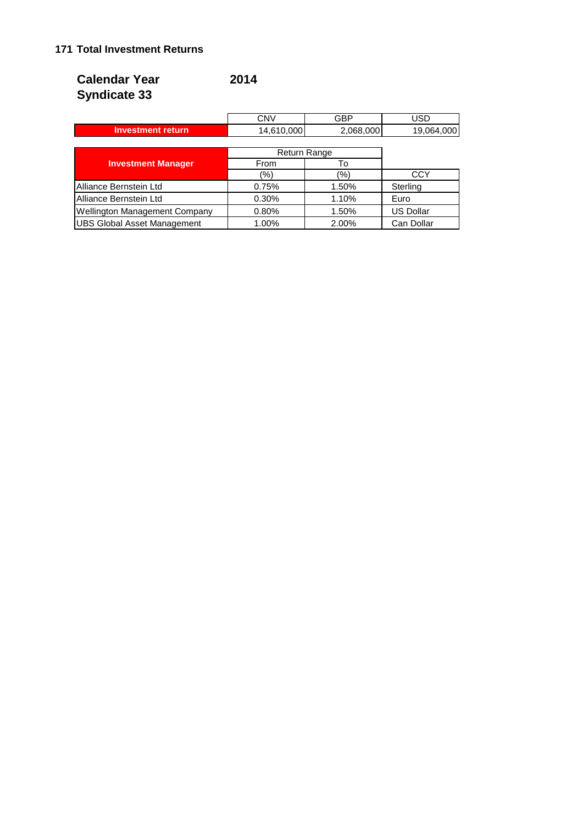## **171 Total Investment Returns**

| <b>Calendar Year</b> | 2014 |
|----------------------|------|
| <b>Syndicate 33</b>  |      |

|                   | CNV        | GBP          | JSC        |
|-------------------|------------|--------------|------------|
| Investment return | 14,610,000 | 2,068,000    | 19,064,000 |
|                   |            |              |            |
|                   |            | Doturn Dongo |            |

|                                      | Return Range |       |                  |
|--------------------------------------|--------------|-------|------------------|
| <b>Investment Manager</b>            | From         | ١o    |                  |
|                                      | (%)          | (%)   | <b>CCY</b>       |
| Alliance Bernstein Ltd               | 0.75%        | 1.50% | Sterling         |
| Alliance Bernstein Ltd               | 0.30%        | 1.10% | Euro             |
| <b>Wellington Management Company</b> | 0.80%        | 1.50% | <b>US Dollar</b> |
| <b>UBS Global Asset Management</b>   | 1.00%        | 2.00% | Can Dollar       |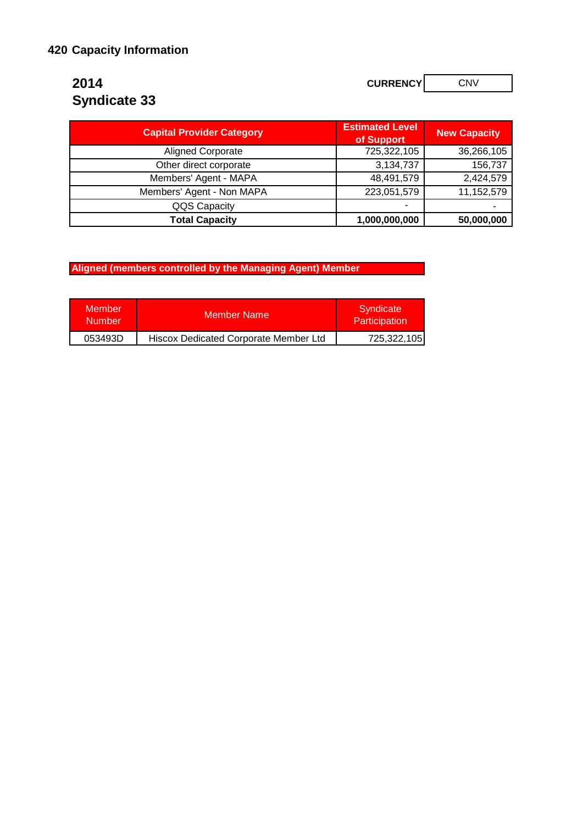# **Syndicate 33**

**2014 CURRENCY CURRENCY CNV** 

| <b>Capital Provider Category</b> | <b>Estimated Level</b><br>of Support | <b>New Capacity</b> |
|----------------------------------|--------------------------------------|---------------------|
| <b>Aligned Corporate</b>         | 725,322,105                          | 36,266,105          |
| Other direct corporate           | 3,134,737                            | 156,737             |
| Members' Agent - MAPA            | 48,491,579                           | 2,424,579           |
| Members' Agent - Non MAPA        | 223,051,579                          | 11,152,579          |
| QQS Capacity                     | -                                    |                     |
| <b>Total Capacity</b>            | 1,000,000,000                        | 50,000,000          |

**Aligned (members controlled by the Managing Agent) Member** 

| <b>Member</b><br><b>Number</b> | <b>Member Name</b>                    | Syndicate<br>Participation |
|--------------------------------|---------------------------------------|----------------------------|
| 053493D                        | Hiscox Dedicated Corporate Member Ltd | 725,322,105                |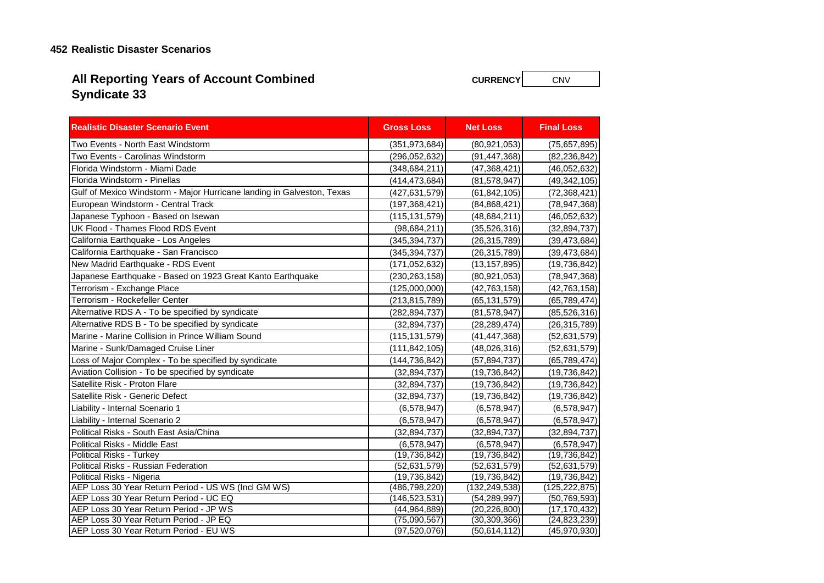## **452 Realistic Disaster Scenarios**

# **Syndicate 33 All Reporting Years of Account Combined**

**CURRENCY** CNV

| <b>Realistic Disaster Scenario Event</b>                                         | <b>Gross Loss</b> | <b>Net Loss</b> | <b>Final Loss</b> |
|----------------------------------------------------------------------------------|-------------------|-----------------|-------------------|
| Two Events - North East Windstorm                                                | (351, 973, 684)   | (80, 921, 053)  | (75,657,895)      |
| Two Events - Carolinas Windstorm                                                 | (296, 052, 632)   | (91, 447, 368)  | (82, 236, 842)    |
| Florida Windstorm - Miami Dade                                                   | (348, 684, 211)   | (47, 368, 421)  | (46,052,632)      |
| Florida Windstorm - Pinellas                                                     | (414,473,684)     | (81, 578, 947)  | (49, 342, 105)    |
| Gulf of Mexico Windstorm - Major Hurricane landing in Galveston, Texas           | (427, 631, 579)   | (61, 842, 105)  | (72, 368, 421)    |
| European Windstorm - Central Track                                               | (197, 368, 421)   | (84, 868, 421)  | (78, 947, 368)    |
| Japanese Typhoon - Based on Isewan                                               | (115, 131, 579)   | (48, 684, 211)  | (46,052,632)      |
| UK Flood - Thames Flood RDS Event                                                | (98, 684, 211)    | (35, 526, 316)  | (32, 894, 737)    |
| California Earthquake - Los Angeles                                              | (345, 394, 737)   | (26, 315, 789)  | (39, 473, 684)    |
| California Earthquake - San Francisco                                            | (345, 394, 737)   | (26, 315, 789)  | (39, 473, 684)    |
| New Madrid Earthquake - RDS Event                                                | (171, 052, 632)   | (13, 157, 895)  | (19, 736, 842)    |
| Japanese Earthquake - Based on 1923 Great Kanto Earthquake                       | (230, 263, 158)   | (80, 921, 053)  | (78, 947, 368)    |
| Terrorism - Exchange Place                                                       | (125,000,000)     | (42, 763, 158)  | (42, 763, 158)    |
| Terrorism - Rockefeller Center                                                   | (213, 815, 789)   | (65, 131, 579)  | (65, 789, 474)    |
| Alternative RDS A - To be specified by syndicate                                 | (282, 894, 737)   | (81, 578, 947)  | (85, 526, 316)    |
| Alternative RDS B - To be specified by syndicate                                 | (32, 894, 737)    | (28, 289, 474)  | (26, 315, 789)    |
| Marine - Marine Collision in Prince William Sound                                | (115, 131, 579)   | (41, 447, 368)  | (52, 631, 579)    |
| Marine - Sunk/Damaged Cruise Liner                                               | (111, 842, 105)   | (48,026,316)    | (52, 631, 579)    |
| Loss of Major Complex - To be specified by syndicate                             | (144,736,842)     | (57, 894, 737)  | (65, 789, 474)    |
| Aviation Collision - To be specified by syndicate                                | (32, 894, 737)    | (19, 736, 842)  | (19, 736, 842)    |
| Satellite Risk - Proton Flare                                                    | (32, 894, 737)    | (19, 736, 842)  | (19, 736, 842)    |
| Satellite Risk - Generic Defect                                                  | (32, 894, 737)    | (19, 736, 842)  | (19, 736, 842)    |
| Liability - Internal Scenario 1                                                  | (6,578,947)       | (6,578,947)     | (6,578,947)       |
| Liability - Internal Scenario 2                                                  | (6, 578, 947)     | (6, 578, 947)   | (6,578,947)       |
| Political Risks - South East Asia/China                                          | (32, 894, 737)    | (32, 894, 737)  | (32, 894, 737)    |
| Political Risks - Middle East                                                    | (6,578,947)       | (6,578,947)     | (6,578,947)       |
| Political Risks - Turkey                                                         | (19, 736, 842)    | (19, 736, 842)  | (19, 736, 842)    |
| Political Risks - Russian Federation                                             | (52, 631, 579)    | (52, 631, 579)  | (52, 631, 579)    |
| Political Risks - Nigeria                                                        | (19, 736, 842)    | (19, 736, 842)  | (19, 736, 842)    |
| AEP Loss 30 Year Return Period - US WS (Incl GM WS)                              | (486,798,220)     | (132, 249, 538) | (125, 222, 875)   |
| AEP Loss 30 Year Return Period - UC EQ                                           | (146, 523, 531)   | (54, 289, 997)  | (50, 769, 593)    |
| AEP Loss 30 Year Return Period - JP WS                                           | (44, 964, 889)    | (20, 226, 800)  | (17, 170, 432)    |
| AEP Loss 30 Year Return Period - JP EQ<br>AEP Loss 30 Year Return Period - EU WS | (75,090,567)      | (30, 309, 366)  | (24, 823, 239)    |
|                                                                                  | (97,520,076)      | (50, 614, 112)  | (45, 970, 930)    |